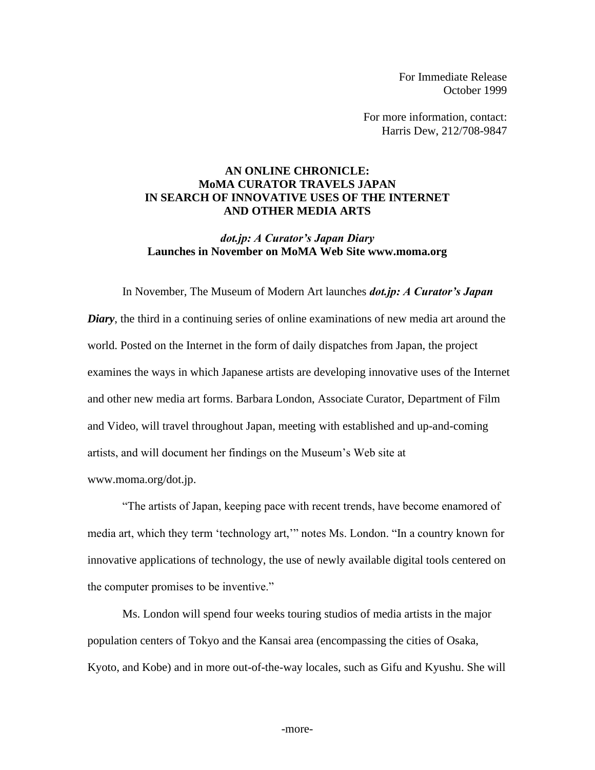For Immediate Release October 1999

For more information, contact: Harris Dew, 212/708-9847

## **AN ONLINE CHRONICLE: MoMA CURATOR TRAVELS JAPAN IN SEARCH OF INNOVATIVE USES OF THE INTERNET AND OTHER MEDIA ARTS**

## *dot.jp: A Curator's Japan Diary* **Launches in November on MoMA Web Site www.moma.org**

In November, The Museum of Modern Art launches *dot.jp: A Curator's Japan Diary*, the third in a continuing series of online examinations of new media art around the world. Posted on the Internet in the form of daily dispatches from Japan, the project examines the ways in which Japanese artists are developing innovative uses of the Internet and other new media art forms. Barbara London, Associate Curator, Department of Film and Video, will travel throughout Japan, meeting with established and up-and-coming artists, and will document her findings on the Museum's Web site at www.moma.org/dot.jp.

"The artists of Japan, keeping pace with recent trends, have become enamored of media art, which they term 'technology art,'" notes Ms. London. "In a country known for innovative applications of technology, the use of newly available digital tools centered on the computer promises to be inventive."

Ms. London will spend four weeks touring studios of media artists in the major population centers of Tokyo and the Kansai area (encompassing the cities of Osaka, Kyoto, and Kobe) and in more out-of-the-way locales, such as Gifu and Kyushu. She will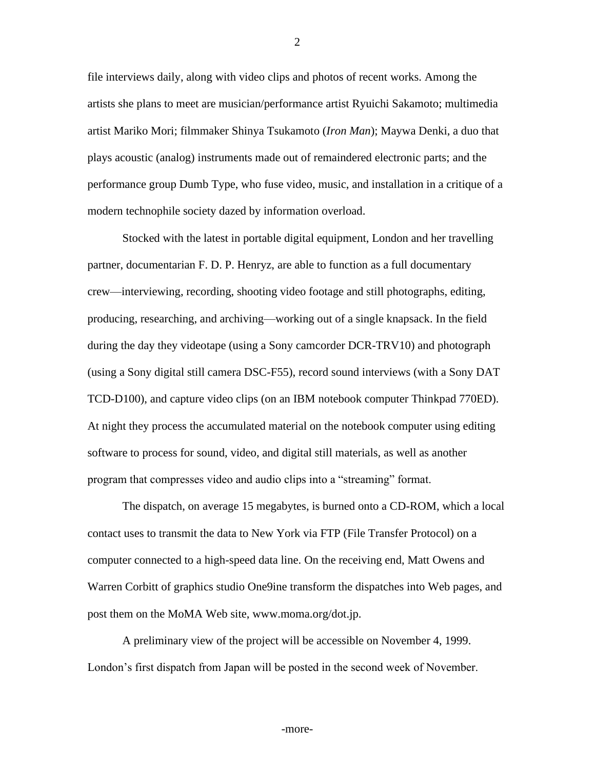file interviews daily, along with video clips and photos of recent works. Among the artists she plans to meet are musician/performance artist Ryuichi Sakamoto; multimedia artist Mariko Mori; filmmaker Shinya Tsukamoto (*Iron Man*); Maywa Denki, a duo that plays acoustic (analog) instruments made out of remaindered electronic parts; and the performance group Dumb Type, who fuse video, music, and installation in a critique of a modern technophile society dazed by information overload.

Stocked with the latest in portable digital equipment, London and her travelling partner, documentarian F. D. P. Henryz, are able to function as a full documentary crew—interviewing, recording, shooting video footage and still photographs, editing, producing, researching, and archiving—working out of a single knapsack. In the field during the day they videotape (using a Sony camcorder DCR-TRV10) and photograph (using a Sony digital still camera DSC-F55), record sound interviews (with a Sony DAT TCD-D100), and capture video clips (on an IBM notebook computer Thinkpad 770ED). At night they process the accumulated material on the notebook computer using editing software to process for sound, video, and digital still materials, as well as another program that compresses video and audio clips into a "streaming" format.

The dispatch, on average 15 megabytes, is burned onto a CD-ROM, which a local contact uses to transmit the data to New York via FTP (File Transfer Protocol) on a computer connected to a high-speed data line. On the receiving end, Matt Owens and Warren Corbitt of graphics studio One9ine transform the dispatches into Web pages, and post them on the MoMA Web site, www.moma.org/dot.jp.

A preliminary view of the project will be accessible on November 4, 1999. London's first dispatch from Japan will be posted in the second week of November.

2